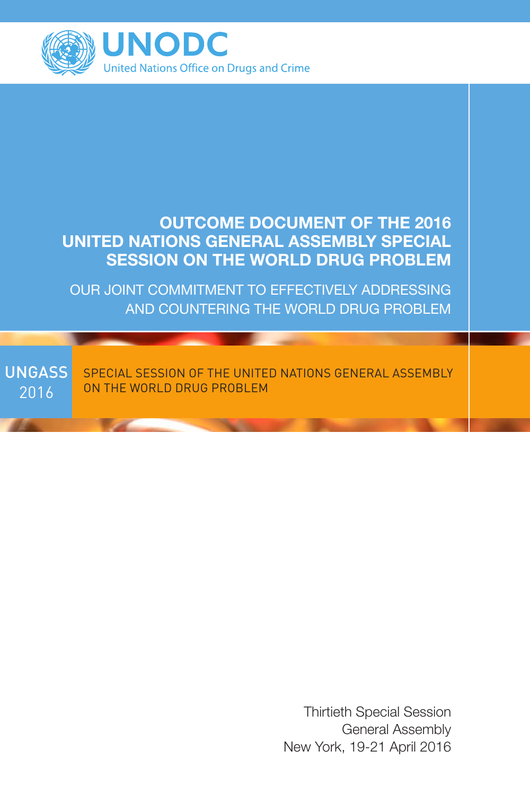

# OUTCOME DOCUMENT OF THE 2016 UNITED NATIONS GENERAL ASSEMBLY SPECIAL SESSION ON THE WORLD DRUG PROBLEM

OUR JOINT COMMITMENT TO EFFECTIVELY ADDRESSING AND COUNTERING THE WORLD DRUG PROBLEM

**UNGASS** 2016 SPECIAL SESSION OF THE UNITED NATIONS GENERAL ASSEMBLY ON THE WORLD DRUG PROBLEM

> Thirtieth Special Session General Assembly New York, 19-21 April 2016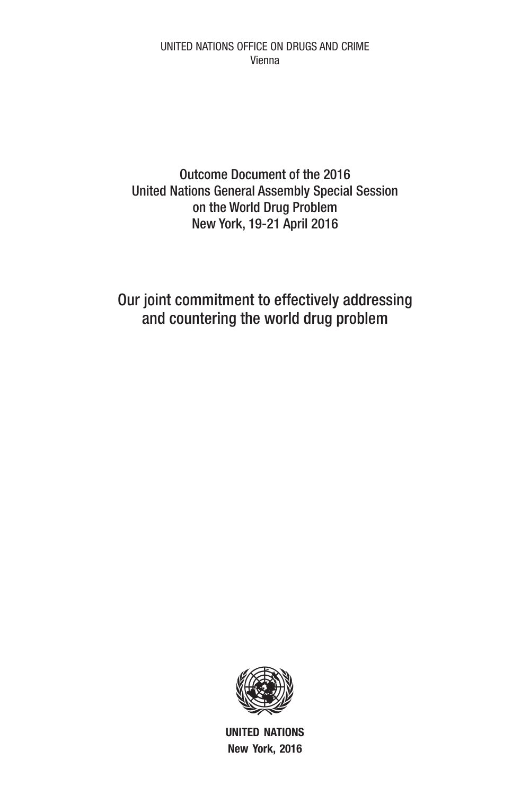UNITED NATIONS OFFICE ON DRUGS AND CRIME Vienna

Outcome Document of the 2016 United Nations General Assembly Special Session on the World Drug Problem New York, 19-21 April 2016

Our joint commitment to effectively addressing and countering the world drug problem



UNITED NATIONS New York, 2016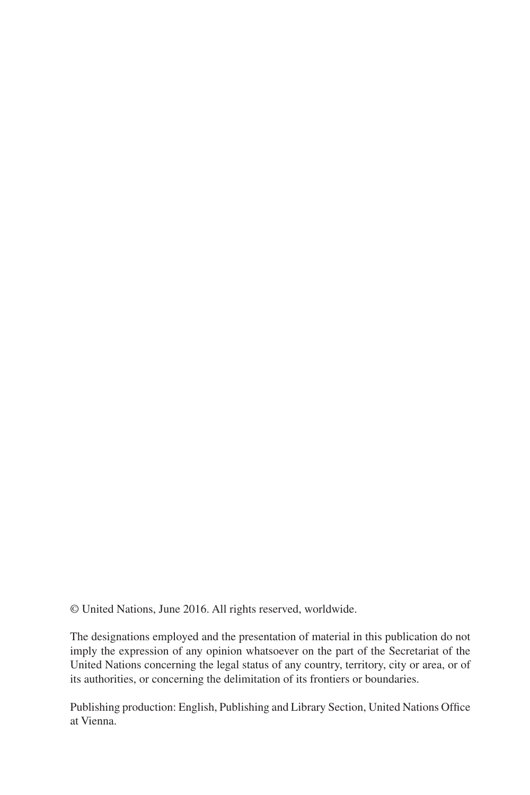© United Nations, June 2016. All rights reserved, worldwide.

The designations employed and the presentation of material in this publication do not imply the expression of any opinion whatsoever on the part of the Secretariat of the United Nations concerning the legal status of any country, territory, city or area, or of its authorities, or concerning the delimitation of its frontiers or boundaries.

Publishing production: English, Publishing and Library Section, United Nations Office at Vienna.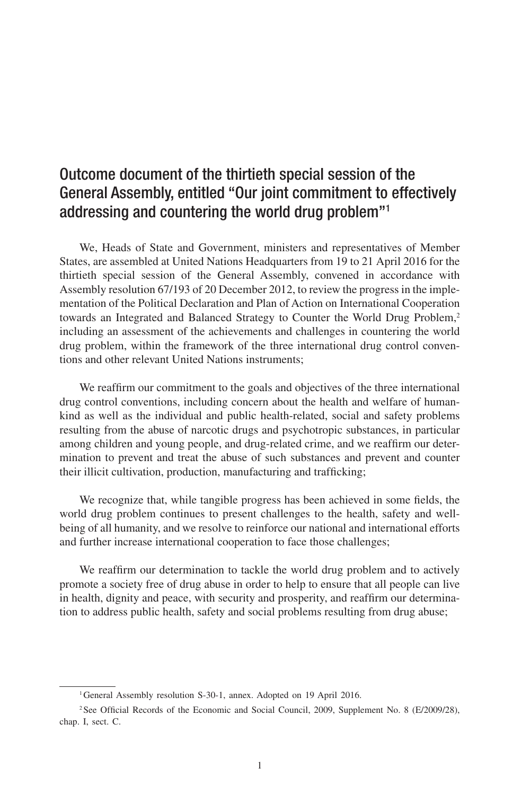# Outcome document of the thirtieth special session of the General Assembly, entitled "Our joint commitment to effectively addressing and countering the world drug problem"1

We, Heads of State and Government, ministers and representatives of Member States, are assembled at United Nations Headquarters from 19 to 21 April 2016 for the thirtieth special session of the General Assembly, convened in accordance with Assembly resolution 67/193 of 20 December 2012, to review the progress in the implementation of the Political Declaration and Plan of Action on International Cooperation towards an Integrated and Balanced Strategy to Counter the World Drug Problem.<sup>2</sup> including an assessment of the achievements and challenges in countering the world drug problem, within the framework of the three international drug control conventions and other relevant United Nations instruments;

We reaffirm our commitment to the goals and objectives of the three international drug control conventions, including concern about the health and welfare of humankind as well as the individual and public health-related, social and safety problems resulting from the abuse of narcotic drugs and psychotropic substances, in particular among children and young people, and drug-related crime, and we reaffirm our determination to prevent and treat the abuse of such substances and prevent and counter their illicit cultivation, production, manufacturing and trafficking;

We recognize that, while tangible progress has been achieved in some fields, the world drug problem continues to present challenges to the health, safety and wellbeing of all humanity, and we resolve to reinforce our national and international efforts and further increase international cooperation to face those challenges;

We reaffirm our determination to tackle the world drug problem and to actively promote a society free of drug abuse in order to help to ensure that all people can live in health, dignity and peace, with security and prosperity, and reaffirm our determination to address public health, safety and social problems resulting from drug abuse;

<sup>&</sup>lt;sup>1</sup>General Assembly resolution S-30-1, annex. Adopted on 19 April 2016.

<sup>&</sup>lt;sup>2</sup>See Official Records of the Economic and Social Council, 2009, Supplement No. 8 (E/2009/28), chap. I, sect. C.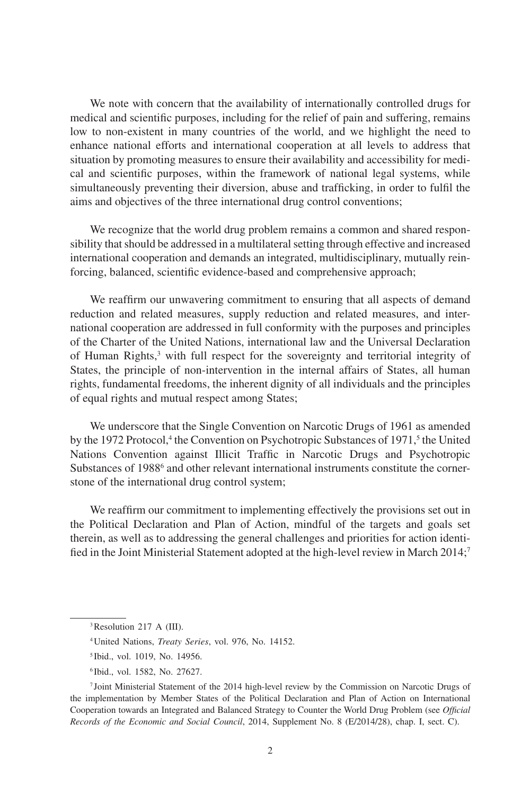We note with concern that the availability of internationally controlled drugs for medical and scientific purposes, including for the relief of pain and suffering, remains low to non-existent in many countries of the world, and we highlight the need to enhance national efforts and international cooperation at all levels to address that situation by promoting measures to ensure their availability and accessibility for medical and scientific purposes, within the framework of national legal systems, while simultaneously preventing their diversion, abuse and trafficking, in order to fulfil the aims and objectives of the three international drug control conventions;

We recognize that the world drug problem remains a common and shared responsibility that should be addressed in a multilateral setting through effective and increased international cooperation and demands an integrated, multidisciplinary, mutually reinforcing, balanced, scientific evidence-based and comprehensive approach;

We reaffirm our unwavering commitment to ensuring that all aspects of demand reduction and related measures, supply reduction and related measures, and international cooperation are addressed in full conformity with the purposes and principles of the Charter of the United Nations, international law and the Universal Declaration of Human Rights,<sup>3</sup> with full respect for the sovereignty and territorial integrity of States, the principle of non-intervention in the internal affairs of States, all human rights, fundamental freedoms, the inherent dignity of all individuals and the principles of equal rights and mutual respect among States;

We underscore that the Single Convention on Narcotic Drugs of 1961 as amended by the 1972 Protocol,<sup>4</sup> the Convention on Psychotropic Substances of 1971,<sup>5</sup> the United Nations Convention against Illicit Traffic in Narcotic Drugs and Psychotropic Substances of 1988<sup>6</sup> and other relevant international instruments constitute the cornerstone of the international drug control system;

We reaffirm our commitment to implementing effectively the provisions set out in the Political Declaration and Plan of Action, mindful of the targets and goals set therein, as well as to addressing the general challenges and priorities for action identified in the Joint Ministerial Statement adopted at the high-level review in March 2014;<sup>7</sup>

<sup>&</sup>lt;sup>3</sup>Resolution 217 A (III).

<sup>4</sup>United Nations, *Treaty Series*, vol. 976, No. 14152.

<sup>5</sup> Ibid., vol. 1019, No. 14956.

<sup>6</sup> Ibid., vol. 1582, No. 27627.

<sup>7</sup> Joint Ministerial Statement of the 2014 high-level review by the Commission on Narcotic Drugs of the implementation by Member States of the Political Declaration and Plan of Action on International Cooperation towards an Integrated and Balanced Strategy to Counter the World Drug Problem (see *Official Records of the Economic and Social Council*, 2014, Supplement No. 8 (E/2014/28), chap. I, sect. C).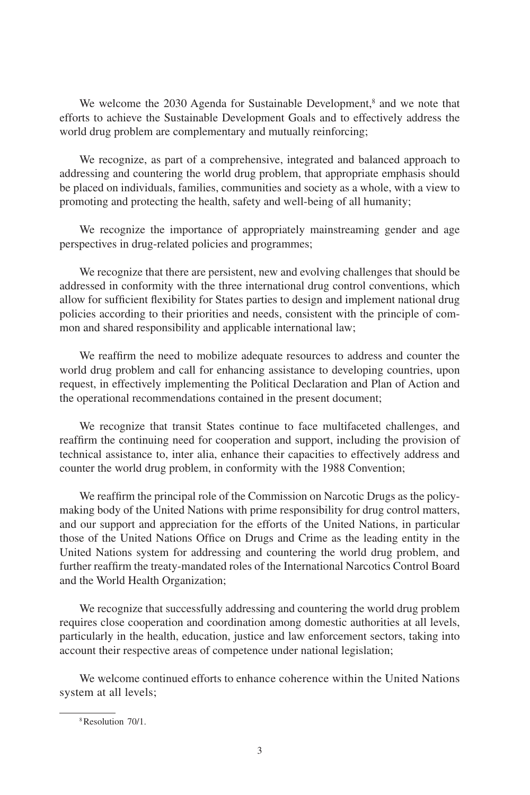We welcome the 2030 Agenda for Sustainable Development,<sup>8</sup> and we note that efforts to achieve the Sustainable Development Goals and to effectively address the world drug problem are complementary and mutually reinforcing;

We recognize, as part of a comprehensive, integrated and balanced approach to addressing and countering the world drug problem, that appropriate emphasis should be placed on individuals, families, communities and society as a whole, with a view to promoting and protecting the health, safety and well-being of all humanity;

We recognize the importance of appropriately mainstreaming gender and age perspectives in drug-related policies and programmes;

We recognize that there are persistent, new and evolving challenges that should be addressed in conformity with the three international drug control conventions, which allow for sufficient flexibility for States parties to design and implement national drug policies according to their priorities and needs, consistent with the principle of common and shared responsibility and applicable international law;

We reaffirm the need to mobilize adequate resources to address and counter the world drug problem and call for enhancing assistance to developing countries, upon request, in effectively implementing the Political Declaration and Plan of Action and the operational recommendations contained in the present document;

We recognize that transit States continue to face multifaceted challenges, and reaffirm the continuing need for cooperation and support, including the provision of technical assistance to, inter alia, enhance their capacities to effectively address and counter the world drug problem, in conformity with the 1988 Convention;

We reaffirm the principal role of the Commission on Narcotic Drugs as the policymaking body of the United Nations with prime responsibility for drug control matters, and our support and appreciation for the efforts of the United Nations, in particular those of the United Nations Office on Drugs and Crime as the leading entity in the United Nations system for addressing and countering the world drug problem, and further reaffirm the treaty-mandated roles of the International Narcotics Control Board and the World Health Organization;

We recognize that successfully addressing and countering the world drug problem requires close cooperation and coordination among domestic authorities at all levels, particularly in the health, education, justice and law enforcement sectors, taking into account their respective areas of competence under national legislation;

We welcome continued efforts to enhance coherence within the United Nations system at all levels;

<sup>8</sup>Resolution 70/1.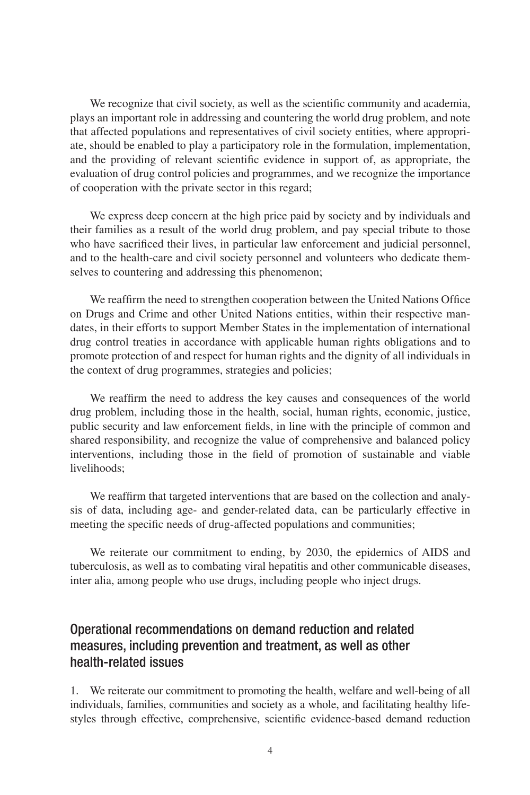We recognize that civil society, as well as the scientific community and academia, plays an important role in addressing and countering the world drug problem, and note that affected populations and representatives of civil society entities, where appropriate, should be enabled to play a participatory role in the formulation, implementation, and the providing of relevant scientific evidence in support of, as appropriate, the evaluation of drug control policies and programmes, and we recognize the importance of cooperation with the private sector in this regard;

We express deep concern at the high price paid by society and by individuals and their families as a result of the world drug problem, and pay special tribute to those who have sacrificed their lives, in particular law enforcement and judicial personnel, and to the health-care and civil society personnel and volunteers who dedicate themselves to countering and addressing this phenomenon;

We reaffirm the need to strengthen cooperation between the United Nations Office on Drugs and Crime and other United Nations entities, within their respective mandates, in their efforts to support Member States in the implementation of international drug control treaties in accordance with applicable human rights obligations and to promote protection of and respect for human rights and the dignity of all individuals in the context of drug programmes, strategies and policies;

We reaffirm the need to address the key causes and consequences of the world drug problem, including those in the health, social, human rights, economic, justice, public security and law enforcement fields, in line with the principle of common and shared responsibility, and recognize the value of comprehensive and balanced policy interventions, including those in the field of promotion of sustainable and viable livelihoods;

We reaffirm that targeted interventions that are based on the collection and analysis of data, including age- and gender-related data, can be particularly effective in meeting the specific needs of drug-affected populations and communities;

We reiterate our commitment to ending, by 2030, the epidemics of AIDS and tuberculosis, as well as to combating viral hepatitis and other communicable diseases, inter alia, among people who use drugs, including people who inject drugs.

## Operational recommendations on demand reduction and related measures, including prevention and treatment, as well as other health-related issues

1. We reiterate our commitment to promoting the health, welfare and well-being of all individuals, families, communities and society as a whole, and facilitating healthy lifestyles through effective, comprehensive, scientific evidence-based demand reduction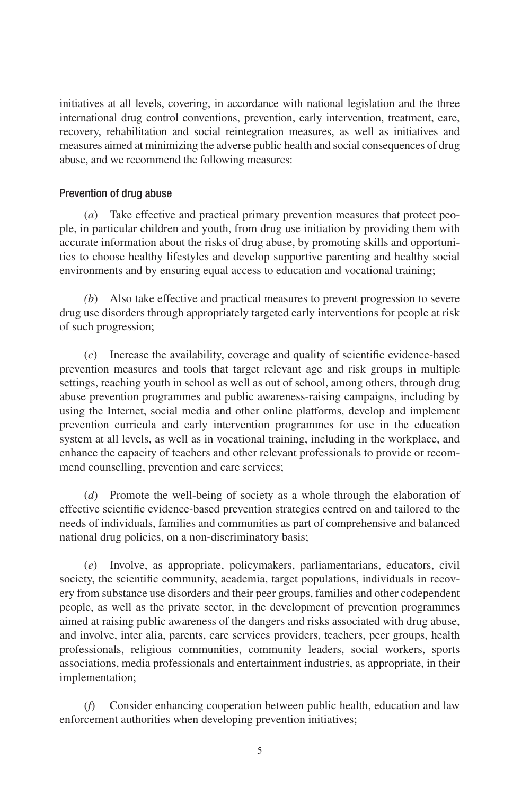initiatives at all levels, covering, in accordance with national legislation and the three international drug control conventions, prevention, early intervention, treatment, care, recovery, rehabilitation and social reintegration measures, as well as initiatives and measures aimed at minimizing the adverse public health and social consequences of drug abuse, and we recommend the following measures:

#### Prevention of drug abuse

(*a*) Take effective and practical primary prevention measures that protect people, in particular children and youth, from drug use initiation by providing them with accurate information about the risks of drug abuse, by promoting skills and opportunities to choose healthy lifestyles and develop supportive parenting and healthy social environments and by ensuring equal access to education and vocational training;

*(b*) Also take effective and practical measures to prevent progression to severe drug use disorders through appropriately targeted early interventions for people at risk of such progression;

(*c*) Increase the availability, coverage and quality of scientific evidence-based prevention measures and tools that target relevant age and risk groups in multiple settings, reaching youth in school as well as out of school, among others, through drug abuse prevention programmes and public awareness-raising campaigns, including by using the Internet, social media and other online platforms, develop and implement prevention curricula and early intervention programmes for use in the education system at all levels, as well as in vocational training, including in the workplace, and enhance the capacity of teachers and other relevant professionals to provide or recommend counselling, prevention and care services;

(*d*) Promote the well-being of society as a whole through the elaboration of effective scientific evidence-based prevention strategies centred on and tailored to the needs of individuals, families and communities as part of comprehensive and balanced national drug policies, on a non-discriminatory basis;

(*e*) Involve, as appropriate, policymakers, parliamentarians, educators, civil society, the scientific community, academia, target populations, individuals in recovery from substance use disorders and their peer groups, families and other codependent people, as well as the private sector, in the development of prevention programmes aimed at raising public awareness of the dangers and risks associated with drug abuse, and involve, inter alia, parents, care services providers, teachers, peer groups, health professionals, religious communities, community leaders, social workers, sports associations, media professionals and entertainment industries, as appropriate, in their implementation;

(*f*) Consider enhancing cooperation between public health, education and law enforcement authorities when developing prevention initiatives;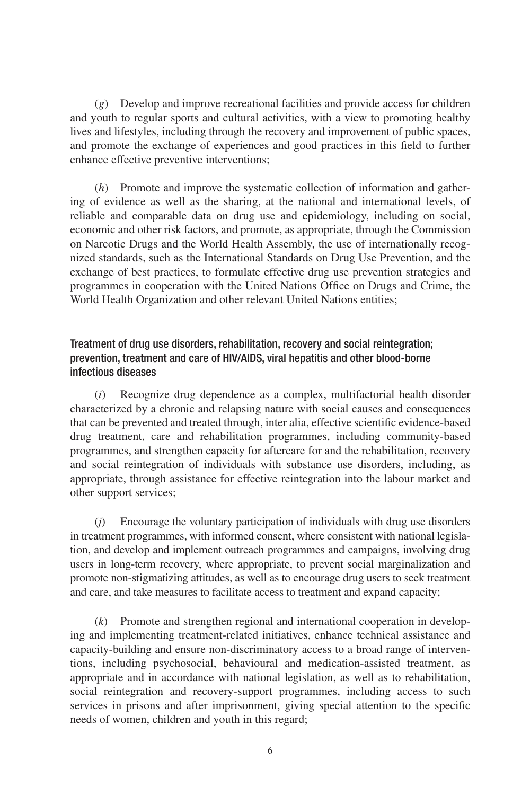(*g*) Develop and improve recreational facilities and provide access for children and youth to regular sports and cultural activities, with a view to promoting healthy lives and lifestyles, including through the recovery and improvement of public spaces, and promote the exchange of experiences and good practices in this field to further enhance effective preventive interventions;

(*h*) Promote and improve the systematic collection of information and gathering of evidence as well as the sharing, at the national and international levels, of reliable and comparable data on drug use and epidemiology, including on social, economic and other risk factors, and promote, as appropriate, through the Commission on Narcotic Drugs and the World Health Assembly, the use of internationally recognized standards, such as the International Standards on Drug Use Prevention, and the exchange of best practices, to formulate effective drug use prevention strategies and programmes in cooperation with the United Nations Office on Drugs and Crime, the World Health Organization and other relevant United Nations entities;

## Treatment of drug use disorders, rehabilitation, recovery and social reintegration; prevention, treatment and care of HIV/AIDS, viral hepatitis and other blood-borne infectious diseases

(*i*) Recognize drug dependence as a complex, multifactorial health disorder characterized by a chronic and relapsing nature with social causes and consequences that can be prevented and treated through, inter alia, effective scientific evidence-based drug treatment, care and rehabilitation programmes, including community-based programmes, and strengthen capacity for aftercare for and the rehabilitation, recovery and social reintegration of individuals with substance use disorders, including, as appropriate, through assistance for effective reintegration into the labour market and other support services;

(*j*) Encourage the voluntary participation of individuals with drug use disorders in treatment programmes, with informed consent, where consistent with national legislation, and develop and implement outreach programmes and campaigns, involving drug users in long-term recovery, where appropriate, to prevent social marginalization and promote non-stigmatizing attitudes, as well as to encourage drug users to seek treatment and care, and take measures to facilitate access to treatment and expand capacity;

(*k*) Promote and strengthen regional and international cooperation in developing and implementing treatment-related initiatives, enhance technical assistance and capacity-building and ensure non-discriminatory access to a broad range of interventions, including psychosocial, behavioural and medication-assisted treatment, as appropriate and in accordance with national legislation, as well as to rehabilitation, social reintegration and recovery-support programmes, including access to such services in prisons and after imprisonment, giving special attention to the specific needs of women, children and youth in this regard;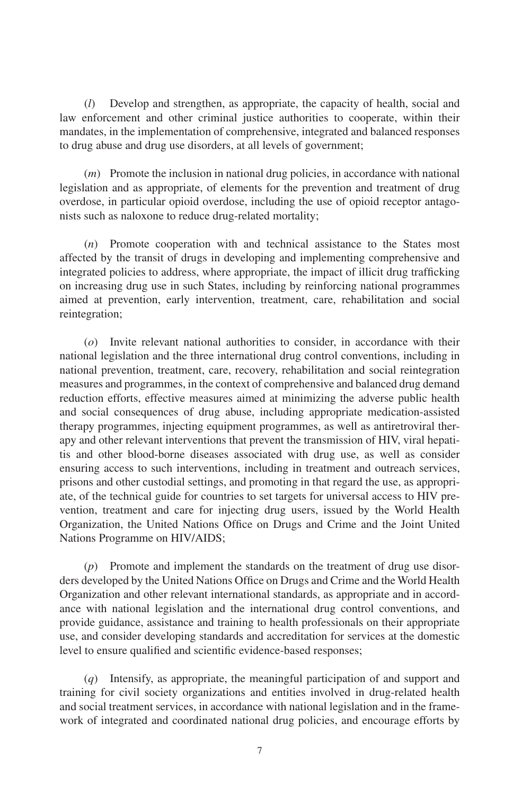(*l*) Develop and strengthen, as appropriate, the capacity of health, social and law enforcement and other criminal justice authorities to cooperate, within their mandates, in the implementation of comprehensive, integrated and balanced responses to drug abuse and drug use disorders, at all levels of government;

(*m*) Promote the inclusion in national drug policies, in accordance with national legislation and as appropriate, of elements for the prevention and treatment of drug overdose, in particular opioid overdose, including the use of opioid receptor antagonists such as naloxone to reduce drug-related mortality;

(*n*) Promote cooperation with and technical assistance to the States most affected by the transit of drugs in developing and implementing comprehensive and integrated policies to address, where appropriate, the impact of illicit drug trafficking on increasing drug use in such States, including by reinforcing national programmes aimed at prevention, early intervention, treatment, care, rehabilitation and social reintegration;

(*o*) Invite relevant national authorities to consider, in accordance with their national legislation and the three international drug control conventions, including in national prevention, treatment, care, recovery, rehabilitation and social reintegration measures and programmes, in the context of comprehensive and balanced drug demand reduction efforts, effective measures aimed at minimizing the adverse public health and social consequences of drug abuse, including appropriate medication-assisted therapy programmes, injecting equipment programmes, as well as antiretroviral therapy and other relevant interventions that prevent the transmission of HIV, viral hepatitis and other blood-borne diseases associated with drug use, as well as consider ensuring access to such interventions, including in treatment and outreach services, prisons and other custodial settings, and promoting in that regard the use, as appropriate, of the technical guide for countries to set targets for universal access to HIV prevention, treatment and care for injecting drug users, issued by the World Health Organization, the United Nations Office on Drugs and Crime and the Joint United Nations Programme on HIV/AIDS;

(*p*) Promote and implement the standards on the treatment of drug use disorders developed by the United Nations Office on Drugs and Crime and the World Health Organization and other relevant international standards, as appropriate and in accordance with national legislation and the international drug control conventions, and provide guidance, assistance and training to health professionals on their appropriate use, and consider developing standards and accreditation for services at the domestic level to ensure qualified and scientific evidence-based responses;

(*q*) Intensify, as appropriate, the meaningful participation of and support and training for civil society organizations and entities involved in drug-related health and social treatment services, in accordance with national legislation and in the framework of integrated and coordinated national drug policies, and encourage efforts by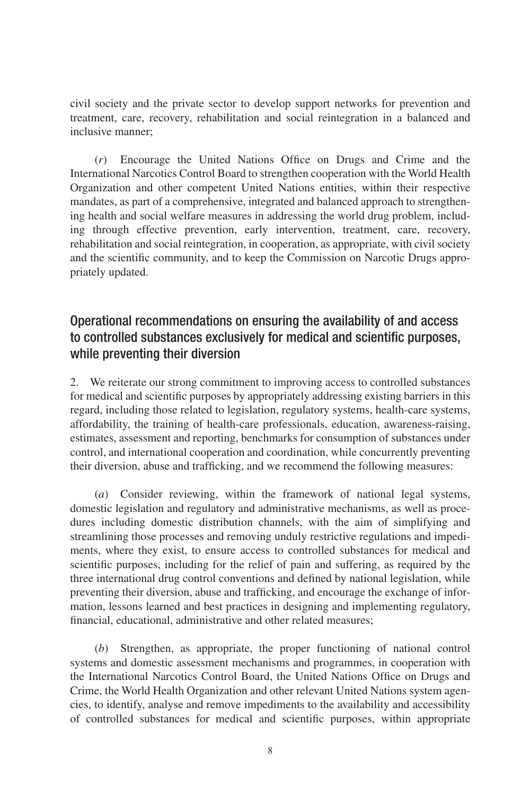civil society and the private sector to develop support networks for prevention and treatment, care, recovery, rehabilitation and social reintegration in a balanced and inclusive manner;

(*r*) Encourage the United Nations Office on Drugs and Crime and the International Narcotics Control Board to strengthen cooperation with the World Health Organization and other competent United Nations entities, within their respective mandates, as part of a comprehensive, integrated and balanced approach to strengthening health and social welfare measures in addressing the world drug problem, including through effective prevention, early intervention, treatment, care, recovery, rehabilitation and social reintegration, in cooperation, as appropriate, with civil society and the scientific community, and to keep the Commission on Narcotic Drugs appropriately updated.

## Operational recommendations on ensuring the availability of and access to controlled substances exclusively for medical and scientific purposes, while preventing their diversion

2. We reiterate our strong commitment to improving access to controlled substances for medical and scientific purposes by appropriately addressing existing barriers in this regard, including those related to legislation, regulatory systems, health-care systems, affordability, the training of health-care professionals, education, awareness-raising, estimates, assessment and reporting, benchmarks for consumption of substances under control, and international cooperation and coordination, while concurrently preventing their diversion, abuse and trafficking, and we recommend the following measures:

(*a*) Consider reviewing, within the framework of national legal systems, domestic legislation and regulatory and administrative mechanisms, as well as procedures including domestic distribution channels, with the aim of simplifying and streamlining those processes and removing unduly restrictive regulations and impediments, where they exist, to ensure access to controlled substances for medical and scientific purposes, including for the relief of pain and suffering, as required by the three international drug control conventions and defined by national legislation, while preventing their diversion, abuse and trafficking, and encourage the exchange of information, lessons learned and best practices in designing and implementing regulatory, financial, educational, administrative and other related measures;

(*b*) Strengthen, as appropriate, the proper functioning of national control systems and domestic assessment mechanisms and programmes, in cooperation with the International Narcotics Control Board, the United Nations Office on Drugs and Crime, the World Health Organization and other relevant United Nations system agencies, to identify, analyse and remove impediments to the availability and accessibility of controlled substances for medical and scientific purposes, within appropriate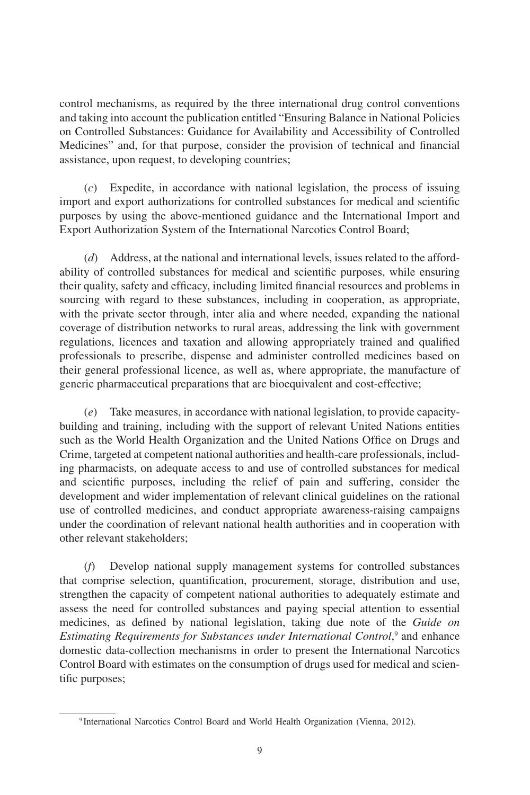control mechanisms, as required by the three international drug control conventions and taking into account the publication entitled "Ensuring Balance in National Policies on Controlled Substances: Guidance for Availability and Accessibility of Controlled Medicines" and, for that purpose, consider the provision of technical and financial assistance, upon request, to developing countries;

(*c*) Expedite, in accordance with national legislation, the process of issuing import and export authorizations for controlled substances for medical and scientific purposes by using the above-mentioned guidance and the International Import and Export Authorization System of the International Narcotics Control Board;

(*d*) Address, at the national and international levels, issues related to the affordability of controlled substances for medical and scientific purposes, while ensuring their quality, safety and efficacy, including limited financial resources and problems in sourcing with regard to these substances, including in cooperation, as appropriate, with the private sector through, inter alia and where needed, expanding the national coverage of distribution networks to rural areas, addressing the link with government regulations, licences and taxation and allowing appropriately trained and qualified professionals to prescribe, dispense and administer controlled medicines based on their general professional licence, as well as, where appropriate, the manufacture of generic pharmaceutical preparations that are bioequivalent and cost-effective;

(*e*) Take measures, in accordance with national legislation, to provide capacitybuilding and training, including with the support of relevant United Nations entities such as the World Health Organization and the United Nations Office on Drugs and Crime, targeted at competent national authorities and health-care professionals, including pharmacists, on adequate access to and use of controlled substances for medical and scientific purposes, including the relief of pain and suffering, consider the development and wider implementation of relevant clinical guidelines on the rational use of controlled medicines, and conduct appropriate awareness-raising campaigns under the coordination of relevant national health authorities and in cooperation with other relevant stakeholders;

(*f*) Develop national supply management systems for controlled substances that comprise selection, quantification, procurement, storage, distribution and use, strengthen the capacity of competent national authorities to adequately estimate and assess the need for controlled substances and paying special attention to essential medicines, as defined by national legislation, taking due note of the *Guide on*  Estimating Requirements for Substances under International Control,<sup>9</sup> and enhance domestic data-collection mechanisms in order to present the International Narcotics Control Board with estimates on the consumption of drugs used for medical and scientific purposes;

<sup>9</sup> International Narcotics Control Board and World Health Organization (Vienna, 2012).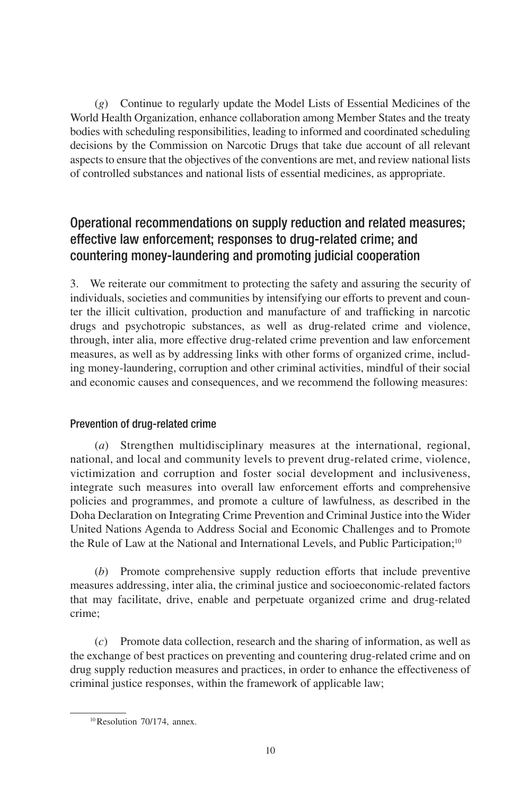(*g*) Continue to regularly update the Model Lists of Essential Medicines of the World Health Organization, enhance collaboration among Member States and the treaty bodies with scheduling responsibilities, leading to informed and coordinated scheduling decisions by the Commission on Narcotic Drugs that take due account of all relevant aspects to ensure that the objectives of the conventions are met, and review national lists of controlled substances and national lists of essential medicines, as appropriate.

## Operational recommendations on supply reduction and related measures; effective law enforcement; responses to drug-related crime; and countering money-laundering and promoting judicial cooperation

3. We reiterate our commitment to protecting the safety and assuring the security of individuals, societies and communities by intensifying our efforts to prevent and counter the illicit cultivation, production and manufacture of and trafficking in narcotic drugs and psychotropic substances, as well as drug-related crime and violence, through, inter alia, more effective drug-related crime prevention and law enforcement measures, as well as by addressing links with other forms of organized crime, including money-laundering, corruption and other criminal activities, mindful of their social and economic causes and consequences, and we recommend the following measures:

## Prevention of drug-related crime

(*a*) Strengthen multidisciplinary measures at the international, regional, national, and local and community levels to prevent drug-related crime, violence, victimization and corruption and foster social development and inclusiveness, integrate such measures into overall law enforcement efforts and comprehensive policies and programmes, and promote a culture of lawfulness, as described in the Doha Declaration on Integrating Crime Prevention and Criminal Justice into the Wider United Nations Agenda to Address Social and Economic Challenges and to Promote the Rule of Law at the National and International Levels, and Public Participation;<sup>10</sup>

(*b*) Promote comprehensive supply reduction efforts that include preventive measures addressing, inter alia, the criminal justice and socioeconomic-related factors that may facilitate, drive, enable and perpetuate organized crime and drug-related crime;

(*c*) Promote data collection, research and the sharing of information, as well as the exchange of best practices on preventing and countering drug-related crime and on drug supply reduction measures and practices, in order to enhance the effectiveness of criminal justice responses, within the framework of applicable law;

<sup>10</sup>Resolution 70/174, annex.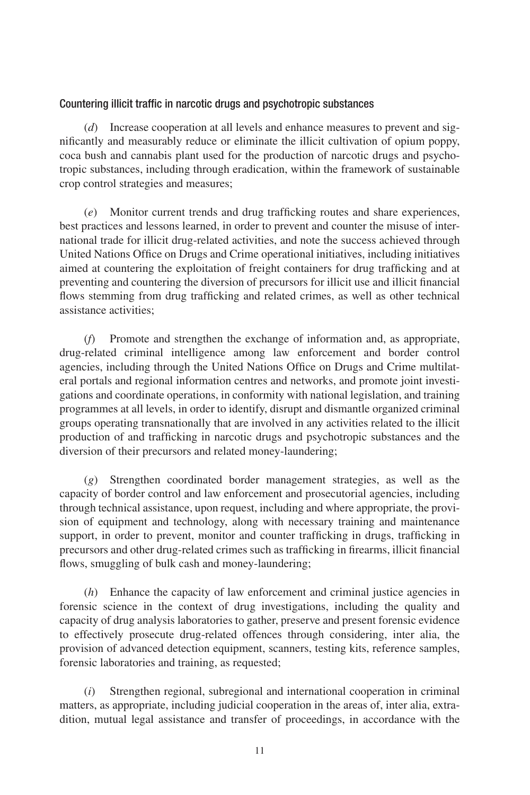### Countering illicit traffic in narcotic drugs and psychotropic substances

(*d*) Increase cooperation at all levels and enhance measures to prevent and significantly and measurably reduce or eliminate the illicit cultivation of opium poppy, coca bush and cannabis plant used for the production of narcotic drugs and psychotropic substances, including through eradication, within the framework of sustainable crop control strategies and measures;

(*e*) Monitor current trends and drug trafficking routes and share experiences, best practices and lessons learned, in order to prevent and counter the misuse of international trade for illicit drug-related activities, and note the success achieved through United Nations Office on Drugs and Crime operational initiatives, including initiatives aimed at countering the exploitation of freight containers for drug trafficking and at preventing and countering the diversion of precursors for illicit use and illicit financial flows stemming from drug trafficking and related crimes, as well as other technical assistance activities;

(*f*) Promote and strengthen the exchange of information and, as appropriate, drug-related criminal intelligence among law enforcement and border control agencies, including through the United Nations Office on Drugs and Crime multilateral portals and regional information centres and networks, and promote joint investigations and coordinate operations, in conformity with national legislation, and training programmes at all levels, in order to identify, disrupt and dismantle organized criminal groups operating transnationally that are involved in any activities related to the illicit production of and trafficking in narcotic drugs and psychotropic substances and the diversion of their precursors and related money-laundering;

(*g*) Strengthen coordinated border management strategies, as well as the capacity of border control and law enforcement and prosecutorial agencies, including through technical assistance, upon request, including and where appropriate, the provision of equipment and technology, along with necessary training and maintenance support, in order to prevent, monitor and counter trafficking in drugs, trafficking in precursors and other drug-related crimes such as trafficking in firearms, illicit financial flows, smuggling of bulk cash and money-laundering;

(*h*) Enhance the capacity of law enforcement and criminal justice agencies in forensic science in the context of drug investigations, including the quality and capacity of drug analysis laboratories to gather, preserve and present forensic evidence to effectively prosecute drug-related offences through considering, inter alia, the provision of advanced detection equipment, scanners, testing kits, reference samples, forensic laboratories and training, as requested;

(*i*) Strengthen regional, subregional and international cooperation in criminal matters, as appropriate, including judicial cooperation in the areas of, inter alia, extradition, mutual legal assistance and transfer of proceedings, in accordance with the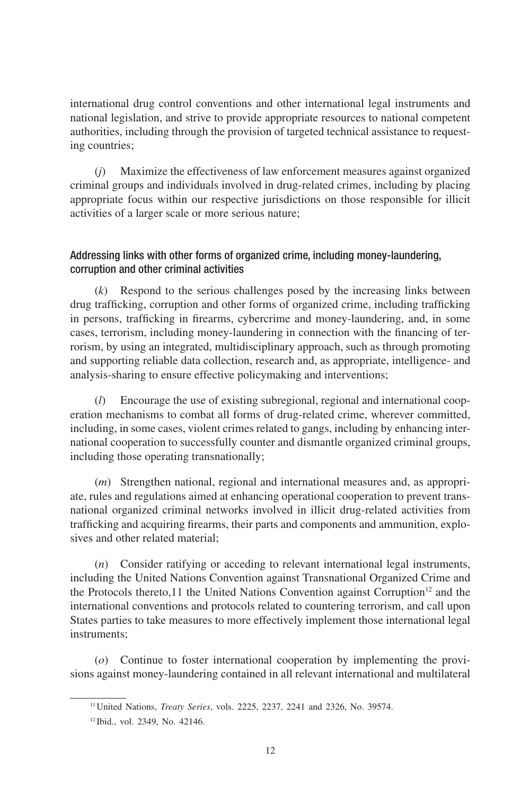international drug control conventions and other international legal instruments and national legislation, and strive to provide appropriate resources to national competent authorities, including through the provision of targeted technical assistance to requesting countries;

(*j*) Maximize the effectiveness of law enforcement measures against organized criminal groups and individuals involved in drug-related crimes, including by placing appropriate focus within our respective jurisdictions on those responsible for illicit activities of a larger scale or more serious nature;

## Addressing links with other forms of organized crime, including money-laundering, corruption and other criminal activities

(*k*) Respond to the serious challenges posed by the increasing links between drug trafficking, corruption and other forms of organized crime, including trafficking in persons, trafficking in firearms, cybercrime and money-laundering, and, in some cases, terrorism, including money-laundering in connection with the financing of terrorism, by using an integrated, multidisciplinary approach, such as through promoting and supporting reliable data collection, research and, as appropriate, intelligence- and analysis-sharing to ensure effective policymaking and interventions;

(*l*) Encourage the use of existing subregional, regional and international cooperation mechanisms to combat all forms of drug-related crime, wherever committed, including, in some cases, violent crimes related to gangs, including by enhancing international cooperation to successfully counter and dismantle organized criminal groups, including those operating transnationally;

(*m*) Strengthen national, regional and international measures and, as appropriate, rules and regulations aimed at enhancing operational cooperation to prevent transnational organized criminal networks involved in illicit drug-related activities from trafficking and acquiring firearms, their parts and components and ammunition, explosives and other related material;

(*n*) Consider ratifying or acceding to relevant international legal instruments, including the United Nations Convention against Transnational Organized Crime and the Protocols thereto,11 the United Nations Convention against Corruption<sup>12</sup> and the international conventions and protocols related to countering terrorism, and call upon States parties to take measures to more effectively implement those international legal instruments;

(*o*) Continue to foster international cooperation by implementing the provisions against money-laundering contained in all relevant international and multilateral

<sup>11</sup>United Nations, *Treaty Series*, vols. 2225, 2237, 2241 and 2326, No. 39574.

<sup>12</sup> Ibid., vol. 2349, No. 42146.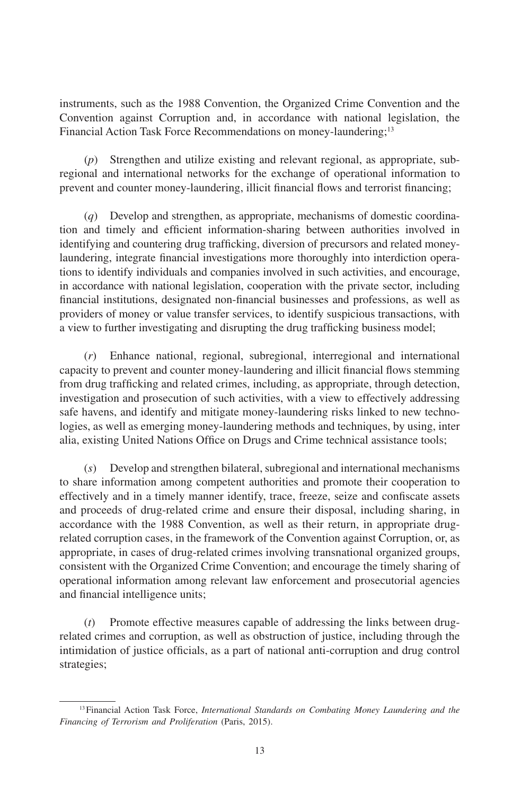instruments, such as the 1988 Convention, the Organized Crime Convention and the Convention against Corruption and, in accordance with national legislation, the Financial Action Task Force Recommendations on money-laundering;<sup>13</sup>

(*p*) Strengthen and utilize existing and relevant regional, as appropriate, subregional and international networks for the exchange of operational information to prevent and counter money-laundering, illicit financial flows and terrorist financing;

(*q*) Develop and strengthen, as appropriate, mechanisms of domestic coordination and timely and efficient information-sharing between authorities involved in identifying and countering drug trafficking, diversion of precursors and related moneylaundering, integrate financial investigations more thoroughly into interdiction operations to identify individuals and companies involved in such activities, and encourage, in accordance with national legislation, cooperation with the private sector, including financial institutions, designated non-financial businesses and professions, as well as providers of money or value transfer services, to identify suspicious transactions, with a view to further investigating and disrupting the drug trafficking business model;

(*r*) Enhance national, regional, subregional, interregional and international capacity to prevent and counter money-laundering and illicit financial flows stemming from drug trafficking and related crimes, including, as appropriate, through detection, investigation and prosecution of such activities, with a view to effectively addressing safe havens, and identify and mitigate money-laundering risks linked to new technologies, as well as emerging money-laundering methods and techniques, by using, inter alia, existing United Nations Office on Drugs and Crime technical assistance tools;

(*s*) Develop and strengthen bilateral, subregional and international mechanisms to share information among competent authorities and promote their cooperation to effectively and in a timely manner identify, trace, freeze, seize and confiscate assets and proceeds of drug-related crime and ensure their disposal, including sharing, in accordance with the 1988 Convention, as well as their return, in appropriate drugrelated corruption cases, in the framework of the Convention against Corruption, or, as appropriate, in cases of drug-related crimes involving transnational organized groups, consistent with the Organized Crime Convention; and encourage the timely sharing of operational information among relevant law enforcement and prosecutorial agencies and financial intelligence units;

Promote effective measures capable of addressing the links between drugrelated crimes and corruption, as well as obstruction of justice, including through the intimidation of justice officials, as a part of national anti-corruption and drug control strategies;

<sup>13</sup>Financial Action Task Force, *International Standards on Combating Money Laundering and the Financing of Terrorism and Proliferation* (Paris, 2015).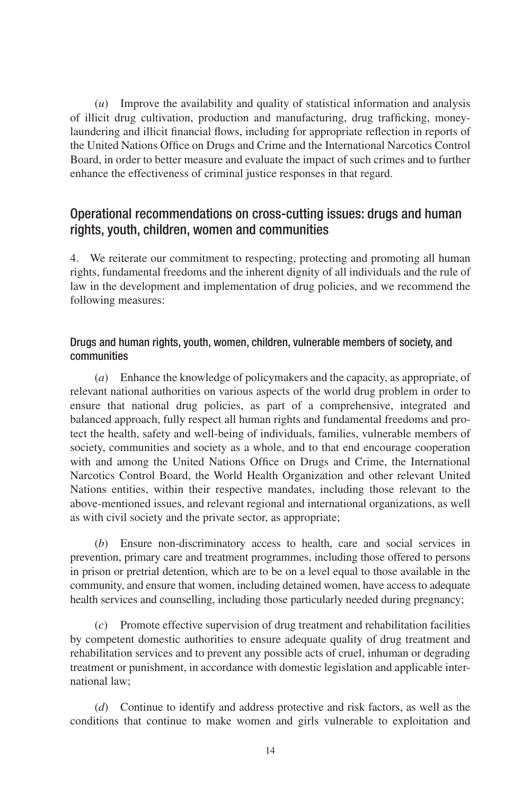(*u*) Improve the availability and quality of statistical information and analysis of illicit drug cultivation, production and manufacturing, drug trafficking, moneylaundering and illicit financial flows, including for appropriate reflection in reports of the United Nations Office on Drugs and Crime and the International Narcotics Control Board, in order to better measure and evaluate the impact of such crimes and to further enhance the effectiveness of criminal justice responses in that regard.

## Operational recommendations on cross-cutting issues: drugs and human rights, youth, children, women and communities

4. We reiterate our commitment to respecting, protecting and promoting all human rights, fundamental freedoms and the inherent dignity of all individuals and the rule of law in the development and implementation of drug policies, and we recommend the following measures:

## Drugs and human rights, youth, women, children, vulnerable members of society, and communities

(*a*) Enhance the knowledge of policymakers and the capacity, as appropriate, of relevant national authorities on various aspects of the world drug problem in order to ensure that national drug policies, as part of a comprehensive, integrated and balanced approach, fully respect all human rights and fundamental freedoms and protect the health, safety and well-being of individuals, families, vulnerable members of society, communities and society as a whole, and to that end encourage cooperation with and among the United Nations Office on Drugs and Crime, the International Narcotics Control Board, the World Health Organization and other relevant United Nations entities, within their respective mandates, including those relevant to the above-mentioned issues, and relevant regional and international organizations, as well as with civil society and the private sector, as appropriate;

(*b*) Ensure non-discriminatory access to health, care and social services in prevention, primary care and treatment programmes, including those offered to persons in prison or pretrial detention, which are to be on a level equal to those available in the community, and ensure that women, including detained women, have access to adequate health services and counselling, including those particularly needed during pregnancy;

(*c*) Promote effective supervision of drug treatment and rehabilitation facilities by competent domestic authorities to ensure adequate quality of drug treatment and rehabilitation services and to prevent any possible acts of cruel, inhuman or degrading treatment or punishment, in accordance with domestic legislation and applicable international law;

(*d*) Continue to identify and address protective and risk factors, as well as the conditions that continue to make women and girls vulnerable to exploitation and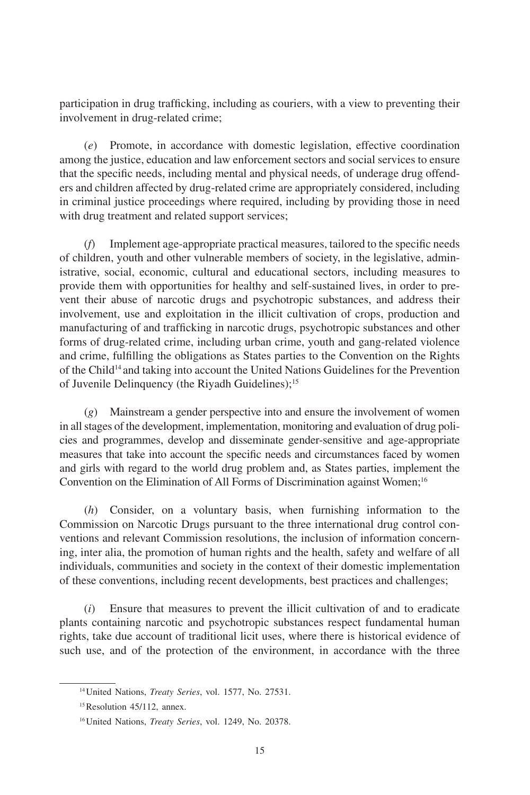participation in drug trafficking, including as couriers, with a view to preventing their involvement in drug-related crime;

(*e*) Promote, in accordance with domestic legislation, effective coordination among the justice, education and law enforcement sectors and social services to ensure that the specific needs, including mental and physical needs, of underage drug offenders and children affected by drug-related crime are appropriately considered, including in criminal justice proceedings where required, including by providing those in need with drug treatment and related support services;

(*f*) Implement age-appropriate practical measures, tailored to the specific needs of children, youth and other vulnerable members of society, in the legislative, administrative, social, economic, cultural and educational sectors, including measures to provide them with opportunities for healthy and self-sustained lives, in order to prevent their abuse of narcotic drugs and psychotropic substances, and address their involvement, use and exploitation in the illicit cultivation of crops, production and manufacturing of and trafficking in narcotic drugs, psychotropic substances and other forms of drug-related crime, including urban crime, youth and gang-related violence and crime, fulfilling the obligations as States parties to the Convention on the Rights of the Child<sup>14</sup> and taking into account the United Nations Guidelines for the Prevention of Juvenile Delinquency (the Riyadh Guidelines);<sup>15</sup>

(*g*) Mainstream a gender perspective into and ensure the involvement of women in all stages of the development, implementation, monitoring and evaluation of drug policies and programmes, develop and disseminate gender-sensitive and age-appropriate measures that take into account the specific needs and circumstances faced by women and girls with regard to the world drug problem and, as States parties, implement the Convention on the Elimination of All Forms of Discrimination against Women;<sup>16</sup>

(*h*) Consider, on a voluntary basis, when furnishing information to the Commission on Narcotic Drugs pursuant to the three international drug control conventions and relevant Commission resolutions, the inclusion of information concerning, inter alia, the promotion of human rights and the health, safety and welfare of all individuals, communities and society in the context of their domestic implementation of these conventions, including recent developments, best practices and challenges;

(*i*) Ensure that measures to prevent the illicit cultivation of and to eradicate plants containing narcotic and psychotropic substances respect fundamental human rights, take due account of traditional licit uses, where there is historical evidence of such use, and of the protection of the environment, in accordance with the three

<sup>14</sup>United Nations, *Treaty Series*, vol. 1577, No. 27531.

<sup>&</sup>lt;sup>15</sup> Resolution 45/112, annex.

<sup>16</sup>United Nations, *Treaty Series*, vol. 1249, No. 20378.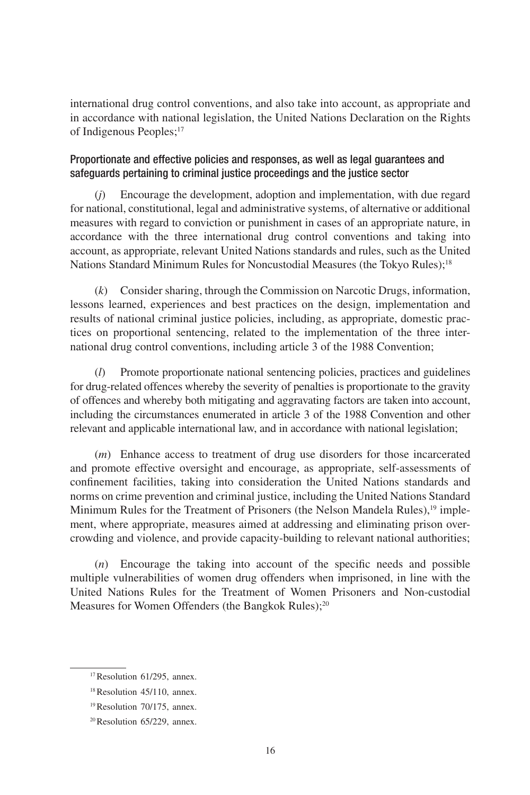international drug control conventions, and also take into account, as appropriate and in accordance with national legislation, the United Nations Declaration on the Rights of Indigenous Peoples;<sup>17</sup>

### Proportionate and effective policies and responses, as well as legal guarantees and safeguards pertaining to criminal justice proceedings and the justice sector

(*j*) Encourage the development, adoption and implementation, with due regard for national, constitutional, legal and administrative systems, of alternative or additional measures with regard to conviction or punishment in cases of an appropriate nature, in accordance with the three international drug control conventions and taking into account, as appropriate, relevant United Nations standards and rules, such as the United Nations Standard Minimum Rules for Noncustodial Measures (the Tokyo Rules);18

(*k*) Consider sharing, through the Commission on Narcotic Drugs, information, lessons learned, experiences and best practices on the design, implementation and results of national criminal justice policies, including, as appropriate, domestic practices on proportional sentencing, related to the implementation of the three international drug control conventions, including article 3 of the 1988 Convention;

(*l*) Promote proportionate national sentencing policies, practices and guidelines for drug-related offences whereby the severity of penalties is proportionate to the gravity of offences and whereby both mitigating and aggravating factors are taken into account, including the circumstances enumerated in article 3 of the 1988 Convention and other relevant and applicable international law, and in accordance with national legislation;

(*m*) Enhance access to treatment of drug use disorders for those incarcerated and promote effective oversight and encourage, as appropriate, self-assessments of confinement facilities, taking into consideration the United Nations standards and norms on crime prevention and criminal justice, including the United Nations Standard Minimum Rules for the Treatment of Prisoners (the Nelson Mandela Rules),<sup>19</sup> implement, where appropriate, measures aimed at addressing and eliminating prison overcrowding and violence, and provide capacity-building to relevant national authorities;

(*n*) Encourage the taking into account of the specific needs and possible multiple vulnerabilities of women drug offenders when imprisoned, in line with the United Nations Rules for the Treatment of Women Prisoners and Non-custodial Measures for Women Offenders (the Bangkok Rules);<sup>20</sup>

<sup>17</sup>Resolution 61/295, annex.

<sup>18</sup>Resolution 45/110, annex.

<sup>19</sup>Resolution 70/175, annex.

<sup>20</sup>Resolution 65/229, annex.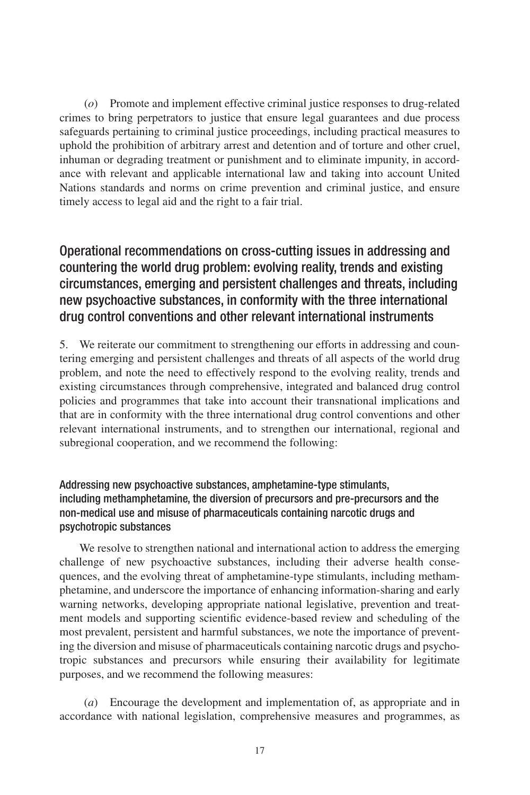(*o*) Promote and implement effective criminal justice responses to drug-related crimes to bring perpetrators to justice that ensure legal guarantees and due process safeguards pertaining to criminal justice proceedings, including practical measures to uphold the prohibition of arbitrary arrest and detention and of torture and other cruel, inhuman or degrading treatment or punishment and to eliminate impunity, in accordance with relevant and applicable international law and taking into account United Nations standards and norms on crime prevention and criminal justice, and ensure timely access to legal aid and the right to a fair trial.

## Operational recommendations on cross-cutting issues in addressing and countering the world drug problem: evolving reality, trends and existing circumstances, emerging and persistent challenges and threats, including new psychoactive substances, in conformity with the three international drug control conventions and other relevant international instruments

5. We reiterate our commitment to strengthening our efforts in addressing and countering emerging and persistent challenges and threats of all aspects of the world drug problem, and note the need to effectively respond to the evolving reality, trends and existing circumstances through comprehensive, integrated and balanced drug control policies and programmes that take into account their transnational implications and that are in conformity with the three international drug control conventions and other relevant international instruments, and to strengthen our international, regional and subregional cooperation, and we recommend the following:

## Addressing new psychoactive substances, amphetamine-type stimulants, including methamphetamine, the diversion of precursors and pre-precursors and the non-medical use and misuse of pharmaceuticals containing narcotic drugs and psychotropic substances

We resolve to strengthen national and international action to address the emerging challenge of new psychoactive substances, including their adverse health consequences, and the evolving threat of amphetamine-type stimulants, including methamphetamine, and underscore the importance of enhancing information-sharing and early warning networks, developing appropriate national legislative, prevention and treatment models and supporting scientific evidence-based review and scheduling of the most prevalent, persistent and harmful substances, we note the importance of preventing the diversion and misuse of pharmaceuticals containing narcotic drugs and psychotropic substances and precursors while ensuring their availability for legitimate purposes, and we recommend the following measures:

(*a*) Encourage the development and implementation of, as appropriate and in accordance with national legislation, comprehensive measures and programmes, as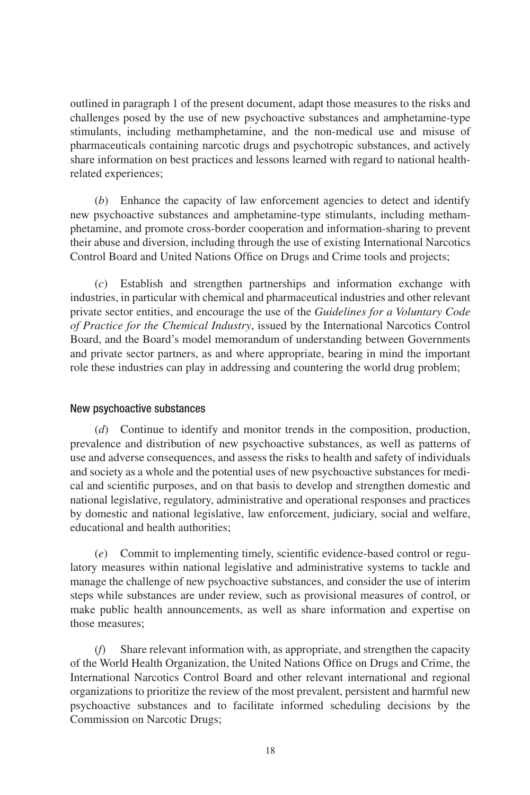outlined in paragraph 1 of the present document, adapt those measures to the risks and challenges posed by the use of new psychoactive substances and amphetamine-type stimulants, including methamphetamine, and the non-medical use and misuse of pharmaceuticals containing narcotic drugs and psychotropic substances, and actively share information on best practices and lessons learned with regard to national healthrelated experiences;

(*b*) Enhance the capacity of law enforcement agencies to detect and identify new psychoactive substances and amphetamine-type stimulants, including methamphetamine, and promote cross-border cooperation and information-sharing to prevent their abuse and diversion, including through the use of existing International Narcotics Control Board and United Nations Office on Drugs and Crime tools and projects;

(*c*) Establish and strengthen partnerships and information exchange with industries, in particular with chemical and pharmaceutical industries and other relevant private sector entities, and encourage the use of the *Guidelines for a Voluntary Code of Practice for the Chemical Industry*, issued by the International Narcotics Control Board, and the Board's model memorandum of understanding between Governments and private sector partners, as and where appropriate, bearing in mind the important role these industries can play in addressing and countering the world drug problem;

#### New psychoactive substances

(*d*) Continue to identify and monitor trends in the composition, production, prevalence and distribution of new psychoactive substances, as well as patterns of use and adverse consequences, and assess the risks to health and safety of individuals and society as a whole and the potential uses of new psychoactive substances for medical and scientific purposes, and on that basis to develop and strengthen domestic and national legislative, regulatory, administrative and operational responses and practices by domestic and national legislative, law enforcement, judiciary, social and welfare, educational and health authorities;

(*e*) Commit to implementing timely, scientific evidence-based control or regulatory measures within national legislative and administrative systems to tackle and manage the challenge of new psychoactive substances, and consider the use of interim steps while substances are under review, such as provisional measures of control, or make public health announcements, as well as share information and expertise on those measures;

(*f*) Share relevant information with, as appropriate, and strengthen the capacity of the World Health Organization, the United Nations Office on Drugs and Crime, the International Narcotics Control Board and other relevant international and regional organizations to prioritize the review of the most prevalent, persistent and harmful new psychoactive substances and to facilitate informed scheduling decisions by the Commission on Narcotic Drugs;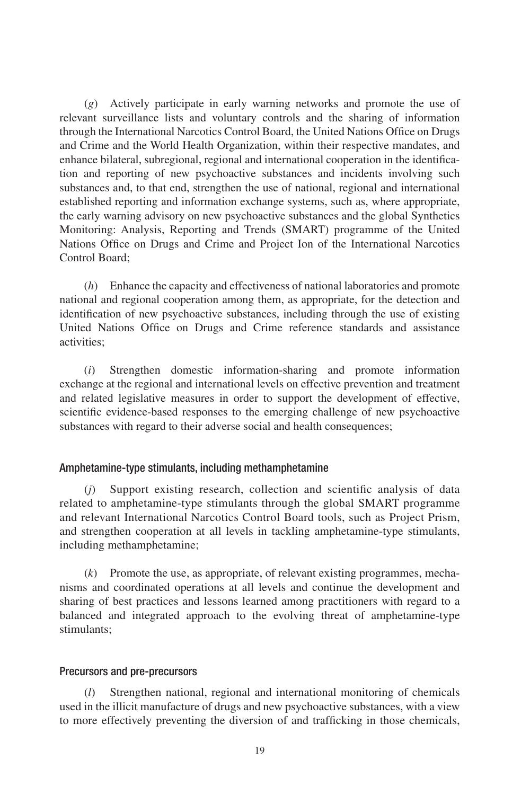(*g*) Actively participate in early warning networks and promote the use of relevant surveillance lists and voluntary controls and the sharing of information through the International Narcotics Control Board, the United Nations Office on Drugs and Crime and the World Health Organization, within their respective mandates, and enhance bilateral, subregional, regional and international cooperation in the identification and reporting of new psychoactive substances and incidents involving such substances and, to that end, strengthen the use of national, regional and international established reporting and information exchange systems, such as, where appropriate, the early warning advisory on new psychoactive substances and the global Synthetics Monitoring: Analysis, Reporting and Trends (SMART) programme of the United Nations Office on Drugs and Crime and Project Ion of the International Narcotics Control Board;

(*h*) Enhance the capacity and effectiveness of national laboratories and promote national and regional cooperation among them, as appropriate, for the detection and identification of new psychoactive substances, including through the use of existing United Nations Office on Drugs and Crime reference standards and assistance activities;

(*i*) Strengthen domestic information-sharing and promote information exchange at the regional and international levels on effective prevention and treatment and related legislative measures in order to support the development of effective, scientific evidence-based responses to the emerging challenge of new psychoactive substances with regard to their adverse social and health consequences;

#### Amphetamine-type stimulants, including methamphetamine

(*j*) Support existing research, collection and scientific analysis of data related to amphetamine-type stimulants through the global SMART programme and relevant International Narcotics Control Board tools, such as Project Prism, and strengthen cooperation at all levels in tackling amphetamine-type stimulants, including methamphetamine;

(*k*) Promote the use, as appropriate, of relevant existing programmes, mechanisms and coordinated operations at all levels and continue the development and sharing of best practices and lessons learned among practitioners with regard to a balanced and integrated approach to the evolving threat of amphetamine-type stimulants;

#### Precursors and pre-precursors

(*l*) Strengthen national, regional and international monitoring of chemicals used in the illicit manufacture of drugs and new psychoactive substances, with a view to more effectively preventing the diversion of and trafficking in those chemicals,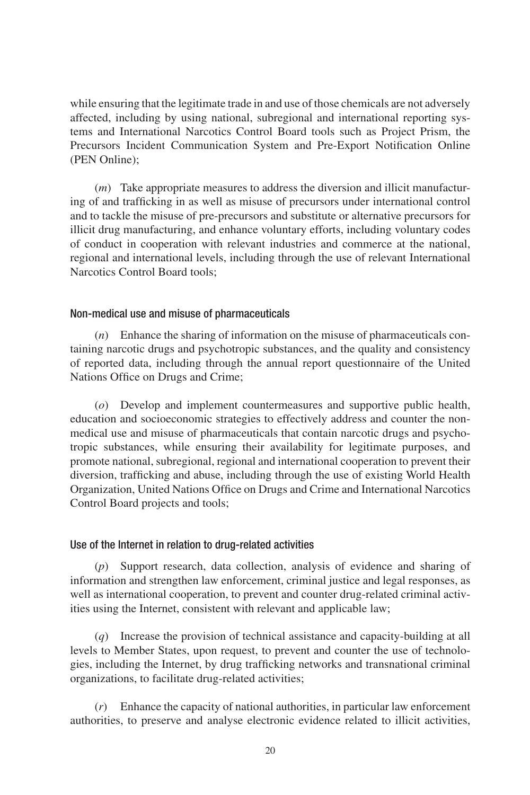while ensuring that the legitimate trade in and use of those chemicals are not adversely affected, including by using national, subregional and international reporting systems and International Narcotics Control Board tools such as Project Prism, the Precursors Incident Communication System and Pre-Export Notification Online (PEN Online);

(*m*) Take appropriate measures to address the diversion and illicit manufacturing of and trafficking in as well as misuse of precursors under international control and to tackle the misuse of pre-precursors and substitute or alternative precursors for illicit drug manufacturing, and enhance voluntary efforts, including voluntary codes of conduct in cooperation with relevant industries and commerce at the national, regional and international levels, including through the use of relevant International Narcotics Control Board tools;

#### Non-medical use and misuse of pharmaceuticals

(*n*) Enhance the sharing of information on the misuse of pharmaceuticals containing narcotic drugs and psychotropic substances, and the quality and consistency of reported data, including through the annual report questionnaire of the United Nations Office on Drugs and Crime;

(*o*) Develop and implement countermeasures and supportive public health, education and socioeconomic strategies to effectively address and counter the nonmedical use and misuse of pharmaceuticals that contain narcotic drugs and psychotropic substances, while ensuring their availability for legitimate purposes, and promote national, subregional, regional and international cooperation to prevent their diversion, trafficking and abuse, including through the use of existing World Health Organization, United Nations Office on Drugs and Crime and International Narcotics Control Board projects and tools;

#### Use of the Internet in relation to drug-related activities

(*p*) Support research, data collection, analysis of evidence and sharing of information and strengthen law enforcement, criminal justice and legal responses, as well as international cooperation, to prevent and counter drug-related criminal activities using the Internet, consistent with relevant and applicable law;

(*q*) Increase the provision of technical assistance and capacity-building at all levels to Member States, upon request, to prevent and counter the use of technologies, including the Internet, by drug trafficking networks and transnational criminal organizations, to facilitate drug-related activities;

(*r*) Enhance the capacity of national authorities, in particular law enforcement authorities, to preserve and analyse electronic evidence related to illicit activities,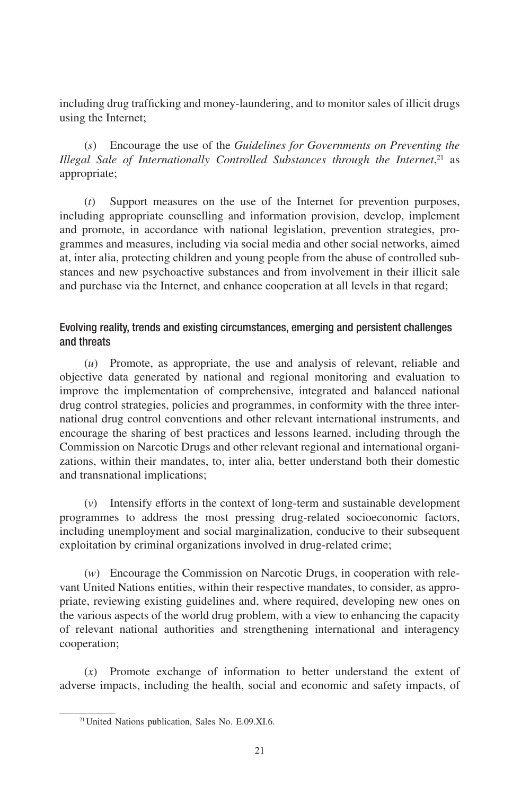including drug trafficking and money-laundering, and to monitor sales of illicit drugs using the Internet;

(*s*) Encourage the use of the *Guidelines for Governments on Preventing the Illegal Sale of Internationally Controlled Substances through the Internet*, 21 as appropriate;

(*t*) Support measures on the use of the Internet for prevention purposes, including appropriate counselling and information provision, develop, implement and promote, in accordance with national legislation, prevention strategies, programmes and measures, including via social media and other social networks, aimed at, inter alia, protecting children and young people from the abuse of controlled substances and new psychoactive substances and from involvement in their illicit sale and purchase via the Internet, and enhance cooperation at all levels in that regard;

## Evolving reality, trends and existing circumstances, emerging and persistent challenges and threats

(*u*) Promote, as appropriate, the use and analysis of relevant, reliable and objective data generated by national and regional monitoring and evaluation to improve the implementation of comprehensive, integrated and balanced national drug control strategies, policies and programmes, in conformity with the three international drug control conventions and other relevant international instruments, and encourage the sharing of best practices and lessons learned, including through the Commission on Narcotic Drugs and other relevant regional and international organizations, within their mandates, to, inter alia, better understand both their domestic and transnational implications;

(*v*) Intensify efforts in the context of long-term and sustainable development programmes to address the most pressing drug-related socioeconomic factors, including unemployment and social marginalization, conducive to their subsequent exploitation by criminal organizations involved in drug-related crime;

(*w*) Encourage the Commission on Narcotic Drugs, in cooperation with relevant United Nations entities, within their respective mandates, to consider, as appropriate, reviewing existing guidelines and, where required, developing new ones on the various aspects of the world drug problem, with a view to enhancing the capacity of relevant national authorities and strengthening international and interagency cooperation;

(*x*) Promote exchange of information to better understand the extent of adverse impacts, including the health, social and economic and safety impacts, of

<sup>&</sup>lt;sup>21</sup> United Nations publication, Sales No. E.09.XI.6.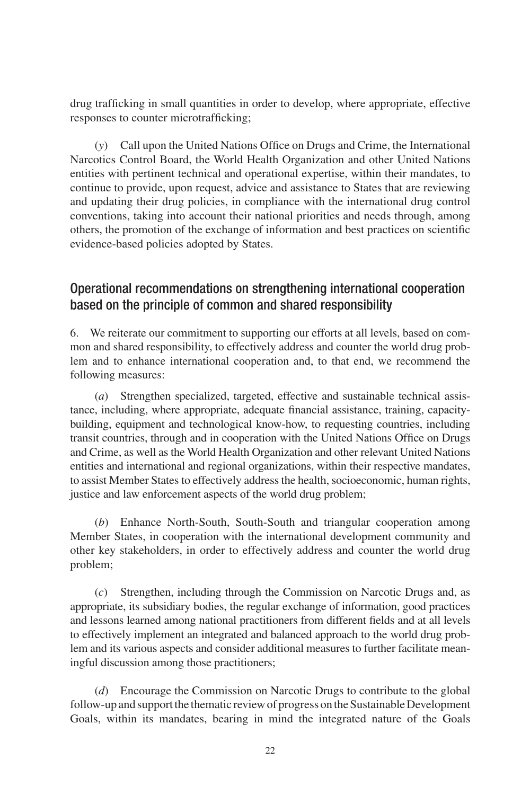drug trafficking in small quantities in order to develop, where appropriate, effective responses to counter microtrafficking;

(*y*) Call upon the United Nations Office on Drugs and Crime, the International Narcotics Control Board, the World Health Organization and other United Nations entities with pertinent technical and operational expertise, within their mandates, to continue to provide, upon request, advice and assistance to States that are reviewing and updating their drug policies, in compliance with the international drug control conventions, taking into account their national priorities and needs through, among others, the promotion of the exchange of information and best practices on scientific evidence-based policies adopted by States.

## Operational recommendations on strengthening international cooperation based on the principle of common and shared responsibility

6. We reiterate our commitment to supporting our efforts at all levels, based on common and shared responsibility, to effectively address and counter the world drug problem and to enhance international cooperation and, to that end, we recommend the following measures:

(*a*) Strengthen specialized, targeted, effective and sustainable technical assistance, including, where appropriate, adequate financial assistance, training, capacitybuilding, equipment and technological know-how, to requesting countries, including transit countries, through and in cooperation with the United Nations Office on Drugs and Crime, as well as the World Health Organization and other relevant United Nations entities and international and regional organizations, within their respective mandates, to assist Member States to effectively address the health, socioeconomic, human rights, justice and law enforcement aspects of the world drug problem;

(*b*) Enhance North-South, South-South and triangular cooperation among Member States, in cooperation with the international development community and other key stakeholders, in order to effectively address and counter the world drug problem;

(*c*) Strengthen, including through the Commission on Narcotic Drugs and, as appropriate, its subsidiary bodies, the regular exchange of information, good practices and lessons learned among national practitioners from different fields and at all levels to effectively implement an integrated and balanced approach to the world drug problem and its various aspects and consider additional measures to further facilitate meaningful discussion among those practitioners;

(*d*) Encourage the Commission on Narcotic Drugs to contribute to the global follow-up and support the thematic review of progress on the Sustainable Development Goals, within its mandates, bearing in mind the integrated nature of the Goals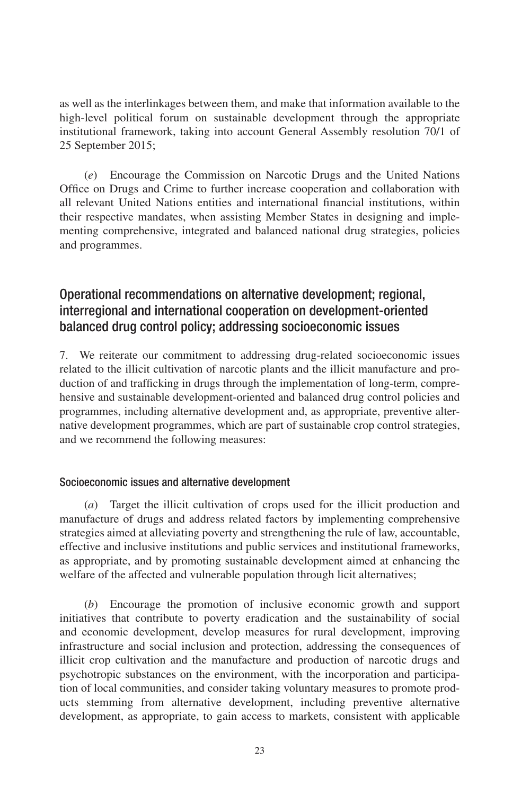as well as the interlinkages between them, and make that information available to the high-level political forum on sustainable development through the appropriate institutional framework, taking into account General Assembly resolution 70/1 of 25 September 2015;

(*e*) Encourage the Commission on Narcotic Drugs and the United Nations Office on Drugs and Crime to further increase cooperation and collaboration with all relevant United Nations entities and international financial institutions, within their respective mandates, when assisting Member States in designing and implementing comprehensive, integrated and balanced national drug strategies, policies and programmes.

## Operational recommendations on alternative development; regional, interregional and international cooperation on development-oriented balanced drug control policy; addressing socioeconomic issues

7. We reiterate our commitment to addressing drug-related socioeconomic issues related to the illicit cultivation of narcotic plants and the illicit manufacture and production of and trafficking in drugs through the implementation of long-term, comprehensive and sustainable development-oriented and balanced drug control policies and programmes, including alternative development and, as appropriate, preventive alternative development programmes, which are part of sustainable crop control strategies, and we recommend the following measures:

### Socioeconomic issues and alternative development

(*a*) Target the illicit cultivation of crops used for the illicit production and manufacture of drugs and address related factors by implementing comprehensive strategies aimed at alleviating poverty and strengthening the rule of law, accountable, effective and inclusive institutions and public services and institutional frameworks, as appropriate, and by promoting sustainable development aimed at enhancing the welfare of the affected and vulnerable population through licit alternatives;

(*b*) Encourage the promotion of inclusive economic growth and support initiatives that contribute to poverty eradication and the sustainability of social and economic development, develop measures for rural development, improving infrastructure and social inclusion and protection, addressing the consequences of illicit crop cultivation and the manufacture and production of narcotic drugs and psychotropic substances on the environment, with the incorporation and participation of local communities, and consider taking voluntary measures to promote products stemming from alternative development, including preventive alternative development, as appropriate, to gain access to markets, consistent with applicable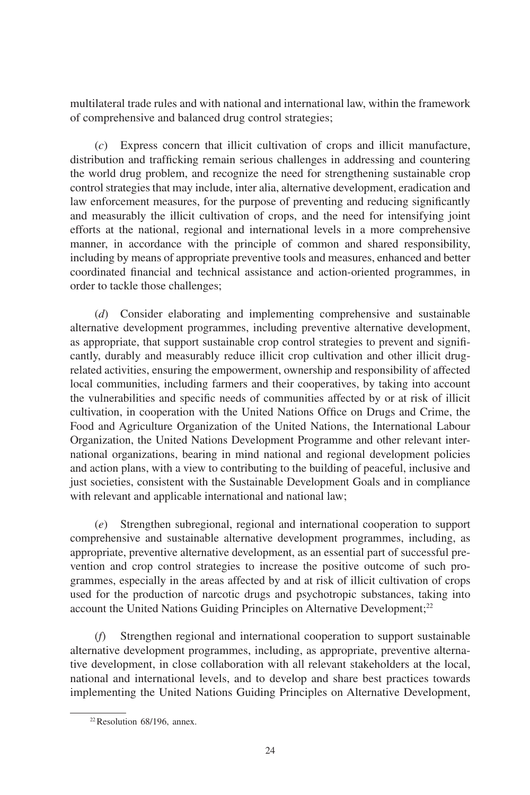multilateral trade rules and with national and international law, within the framework of comprehensive and balanced drug control strategies;

(*c*) Express concern that illicit cultivation of crops and illicit manufacture, distribution and trafficking remain serious challenges in addressing and countering the world drug problem, and recognize the need for strengthening sustainable crop control strategies that may include, inter alia, alternative development, eradication and law enforcement measures, for the purpose of preventing and reducing significantly and measurably the illicit cultivation of crops, and the need for intensifying joint efforts at the national, regional and international levels in a more comprehensive manner, in accordance with the principle of common and shared responsibility, including by means of appropriate preventive tools and measures, enhanced and better coordinated financial and technical assistance and action-oriented programmes, in order to tackle those challenges;

(*d*) Consider elaborating and implementing comprehensive and sustainable alternative development programmes, including preventive alternative development, as appropriate, that support sustainable crop control strategies to prevent and significantly, durably and measurably reduce illicit crop cultivation and other illicit drugrelated activities, ensuring the empowerment, ownership and responsibility of affected local communities, including farmers and their cooperatives, by taking into account the vulnerabilities and specific needs of communities affected by or at risk of illicit cultivation, in cooperation with the United Nations Office on Drugs and Crime, the Food and Agriculture Organization of the United Nations, the International Labour Organization, the United Nations Development Programme and other relevant international organizations, bearing in mind national and regional development policies and action plans, with a view to contributing to the building of peaceful, inclusive and just societies, consistent with the Sustainable Development Goals and in compliance with relevant and applicable international and national law;

(*e*) Strengthen subregional, regional and international cooperation to support comprehensive and sustainable alternative development programmes, including, as appropriate, preventive alternative development, as an essential part of successful prevention and crop control strategies to increase the positive outcome of such programmes, especially in the areas affected by and at risk of illicit cultivation of crops used for the production of narcotic drugs and psychotropic substances, taking into account the United Nations Guiding Principles on Alternative Development;<sup>22</sup>

(*f*) Strengthen regional and international cooperation to support sustainable alternative development programmes, including, as appropriate, preventive alternative development, in close collaboration with all relevant stakeholders at the local, national and international levels, and to develop and share best practices towards implementing the United Nations Guiding Principles on Alternative Development,

 $22$  Resolution 68/196, annex.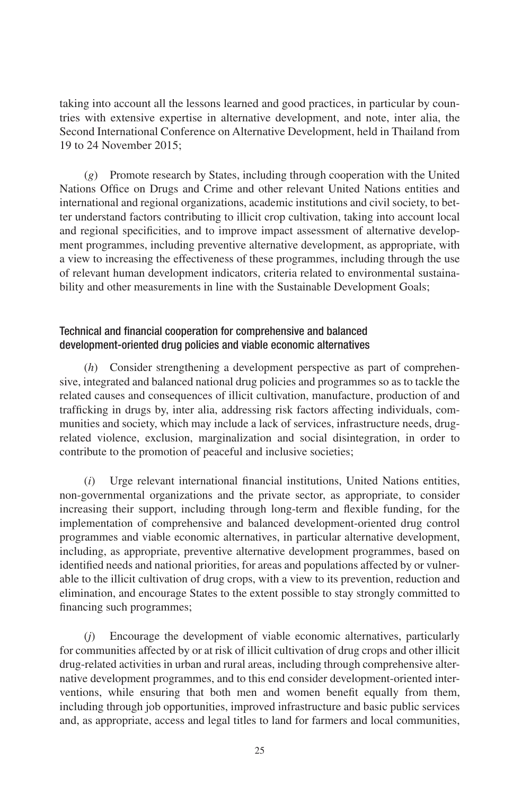taking into account all the lessons learned and good practices, in particular by countries with extensive expertise in alternative development, and note, inter alia, the Second International Conference on Alternative Development, held in Thailand from 19 to 24 November 2015;

(*g*) Promote research by States, including through cooperation with the United Nations Office on Drugs and Crime and other relevant United Nations entities and international and regional organizations, academic institutions and civil society, to better understand factors contributing to illicit crop cultivation, taking into account local and regional specificities, and to improve impact assessment of alternative development programmes, including preventive alternative development, as appropriate, with a view to increasing the effectiveness of these programmes, including through the use of relevant human development indicators, criteria related to environmental sustainability and other measurements in line with the Sustainable Development Goals;

## Technical and financial cooperation for comprehensive and balanced development-oriented drug policies and viable economic alternatives

(*h*) Consider strengthening a development perspective as part of comprehensive, integrated and balanced national drug policies and programmes so as to tackle the related causes and consequences of illicit cultivation, manufacture, production of and trafficking in drugs by, inter alia, addressing risk factors affecting individuals, communities and society, which may include a lack of services, infrastructure needs, drugrelated violence, exclusion, marginalization and social disintegration, in order to contribute to the promotion of peaceful and inclusive societies;

(*i*) Urge relevant international financial institutions, United Nations entities, non-governmental organizations and the private sector, as appropriate, to consider increasing their support, including through long-term and flexible funding, for the implementation of comprehensive and balanced development-oriented drug control programmes and viable economic alternatives, in particular alternative development, including, as appropriate, preventive alternative development programmes, based on identified needs and national priorities, for areas and populations affected by or vulnerable to the illicit cultivation of drug crops, with a view to its prevention, reduction and elimination, and encourage States to the extent possible to stay strongly committed to financing such programmes;

(*j*) Encourage the development of viable economic alternatives, particularly for communities affected by or at risk of illicit cultivation of drug crops and other illicit drug-related activities in urban and rural areas, including through comprehensive alternative development programmes, and to this end consider development-oriented interventions, while ensuring that both men and women benefit equally from them, including through job opportunities, improved infrastructure and basic public services and, as appropriate, access and legal titles to land for farmers and local communities,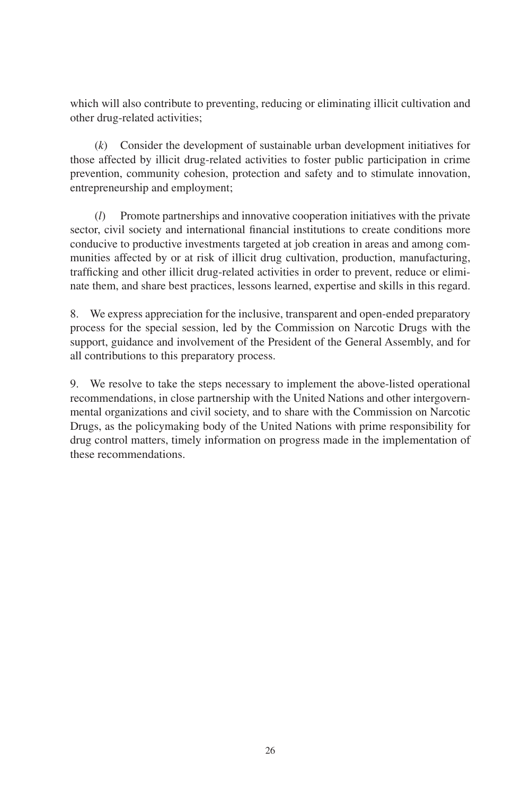which will also contribute to preventing, reducing or eliminating illicit cultivation and other drug-related activities;

(*k*) Consider the development of sustainable urban development initiatives for those affected by illicit drug-related activities to foster public participation in crime prevention, community cohesion, protection and safety and to stimulate innovation, entrepreneurship and employment;

(*l*) Promote partnerships and innovative cooperation initiatives with the private sector, civil society and international financial institutions to create conditions more conducive to productive investments targeted at job creation in areas and among communities affected by or at risk of illicit drug cultivation, production, manufacturing, trafficking and other illicit drug-related activities in order to prevent, reduce or eliminate them, and share best practices, lessons learned, expertise and skills in this regard.

8. We express appreciation for the inclusive, transparent and open-ended preparatory process for the special session, led by the Commission on Narcotic Drugs with the support, guidance and involvement of the President of the General Assembly, and for all contributions to this preparatory process.

9. We resolve to take the steps necessary to implement the above-listed operational recommendations, in close partnership with the United Nations and other intergovernmental organizations and civil society, and to share with the Commission on Narcotic Drugs, as the policymaking body of the United Nations with prime responsibility for drug control matters, timely information on progress made in the implementation of these recommendations.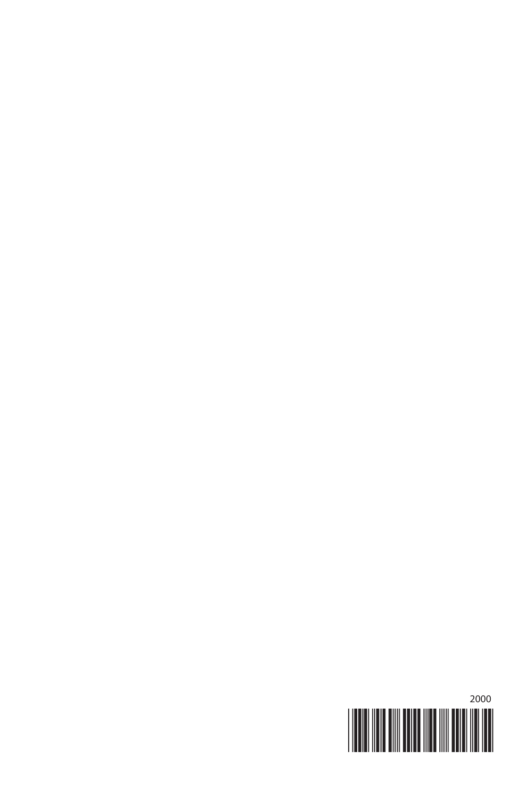

2000